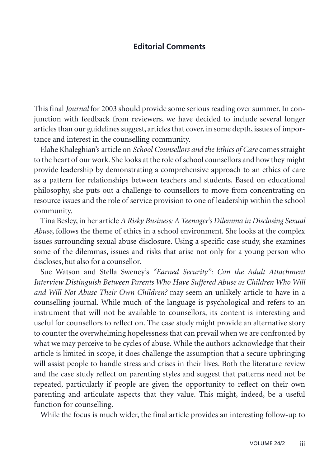## **Editorial Comments**

This final *Journal* for 2003 should provide some serious reading over summer. In conjunction with feedback from reviewers, we have decided to include several longer articles than our guidelines suggest, articles that cover, in some depth, issues of importance and interest in the counselling community.

Elahe Khaleghian's article on *School Counsellors and the Ethics of Care* comes straight to the heart of our work. She looks at the role of school counsellors and how they might provide leadership by demonstrating a comprehensive approach to an ethics of care as a pattern for relationships between teachers and students. Based on educational philosophy, she puts out a challenge to counsellors to move from concentrating on resource issues and the role of service provision to one of leadership within the school community.

Tina Besley, in her article *A Risky Business: A Teenager's Dilemma in Disclosing Sexual Abuse*, follows the theme of ethics in a school environment. She looks at the complex issues surrounding sexual abuse disclosure. Using a specific case study, she examines some of the dilemmas, issues and risks that arise not only for a young person who discloses, but also for a counsellor.

Sue Watson and Stella Sweney's *"Earned Security": Can the Adult Attachment Interview Distinguish Between Parents Who Have Suffered Abuse as Children Who Will and Will Not Abuse Their Own Children?* may seem an unlikely article to have in a counselling journal. While much of the language is psychological and refers to an instrument that will not be available to counsellors, its content is interesting and useful for counsellors to reflect on. The case study might provide an alternative story to counter the overwhelming hopelessness that can prevail when we are confronted by what we may perceive to be cycles of abuse. While the authors acknowledge that their article is limited in scope, it does challenge the assumption that a secure upbringing will assist people to handle stress and crises in their lives. Both the literature review and the case study reflect on parenting styles and suggest that patterns need not be repeated, particularly if people are given the opportunity to reflect on their own parenting and articulate aspects that they value. This might, indeed, be a useful function for counselling.

While the focus is much wider, the final article provides an interesting follow-up to